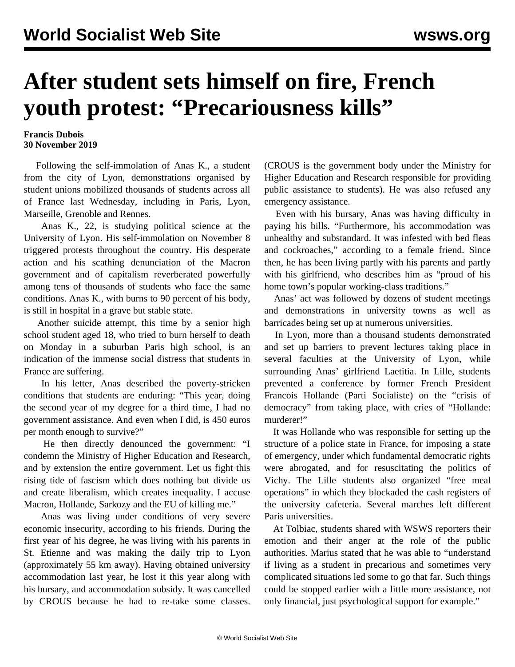## **After student sets himself on fire, French youth protest: "Precariousness kills"**

## **Francis Dubois 30 November 2019**

 Following the self-immolation of Anas K., a student from the city of Lyon, demonstrations organised by student unions mobilized thousands of students across all of France last Wednesday, including in Paris, Lyon, Marseille, Grenoble and Rennes.

 Anas K., 22, is studying political science at the University of Lyon. His self-immolation on November 8 triggered protests throughout the country. His desperate action and his scathing denunciation of the Macron government and of capitalism reverberated powerfully among tens of thousands of students who face the same conditions. Anas K., with burns to 90 percent of his body, is still in hospital in a grave but stable state.

 Another suicide attempt, this time by a senior high school student aged 18, who tried to burn herself to death on Monday in a suburban Paris high school, is an indication of the immense social distress that students in France are suffering.

 In his letter, Anas described the poverty-stricken conditions that students are enduring: "This year, doing the second year of my degree for a third time, I had no government assistance. And even when I did, is 450 euros per month enough to survive?"

 He then directly denounced the government: "I condemn the Ministry of Higher Education and Research, and by extension the entire government. Let us fight this rising tide of fascism which does nothing but divide us and create liberalism, which creates inequality. I accuse Macron, Hollande, Sarkozy and the EU of killing me."

 Anas was living under conditions of very severe economic insecurity, according to his friends. During the first year of his degree, he was living with his parents in St. Etienne and was making the daily trip to Lyon (approximately 55 km away). Having obtained university accommodation last year, he lost it this year along with his bursary, and accommodation subsidy. It was cancelled by CROUS because he had to re-take some classes.

(CROUS is the government body under the Ministry for Higher Education and Research responsible for providing public assistance to students). He was also refused any emergency assistance.

 Even with his bursary, Anas was having difficulty in paying his bills. "Furthermore, his accommodation was unhealthy and substandard. It was infested with bed fleas and cockroaches," according to a female friend. Since then, he has been living partly with his parents and partly with his girlfriend, who describes him as "proud of his home town's popular working-class traditions."

 Anas' act was followed by dozens of student meetings and demonstrations in university towns as well as barricades being set up at numerous universities.

 In Lyon, more than a thousand students demonstrated and set up barriers to prevent lectures taking place in several faculties at the University of Lyon, while surrounding Anas' girlfriend Laetitia. In Lille, students prevented a conference by former French President Francois Hollande (Parti Socialiste) on the "crisis of democracy" from taking place, with cries of "Hollande: murderer!"

 It was Hollande who was responsible for setting up the structure of a police state in France, for imposing a state of emergency, under which fundamental democratic rights were abrogated, and for resuscitating the politics of Vichy. The Lille students also organized "free meal operations" in which they blockaded the cash registers of the university cafeteria. Several marches left different Paris universities.

 At Tolbiac, students shared with WSWS reporters their emotion and their anger at the role of the public authorities. Marius stated that he was able to "understand if living as a student in precarious and sometimes very complicated situations led some to go that far. Such things could be stopped earlier with a little more assistance, not only financial, just psychological support for example."